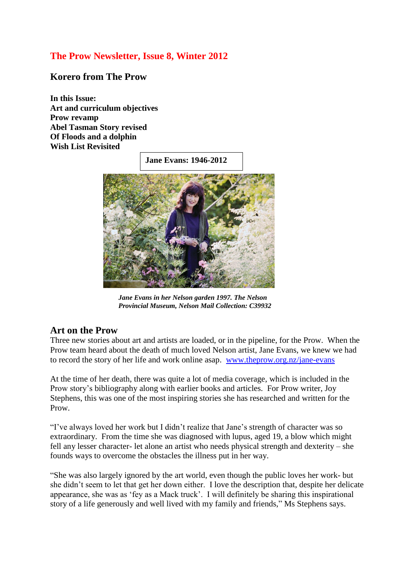# **The Prow Newsletter, Issue 8, Winter 2012**

#### **Korero from The Prow**

**In this Issue: Art and curriculum objectives Prow revamp Abel Tasman Story revised Of Floods and a dolphin Wish List Revisited**

**Jane Evans: 1946-2012**



*Jane Evans in her Nelson garden 1997. The Nelson Provincial Museum, Nelson Mail Collection: C39932*

#### **Art on the Prow**

Three new stories about art and artists are loaded, or in the pipeline, for the Prow. When the Prow team heard ab[out the death](https://maps.google.com/maps?q=Sydney,+Kings+Cross,+Potts+Point,+New+South+Wales,+Australia&hl=en&sll=37.0625,-95.677068&sspn=54.665451,134.912109&oq=kings+cross+sy&hnear=Kings+Cross,+Potts+Point+New+South+Wales,+Australia&t=m&z=15) of much loved Nelson artist, Jane Evans, we knew we had to record the story of her life and work online asap. [www.theprow.org.nz/jane-evans](http://www.theprow.org.nz/jane-evans)

At the time of her death, there was quite a lot of media coverage, which is included in the Prow story's bibliography along with earlier books and articles. For Prow writer, Joy Stephens, this was one of the most inspiring stories she has researched and written for the Prow.

"I've always loved her work but I didn't realize that Jane's strength of character was so extraordinary. From the time she was diagnosed with lupus, aged 19, a blow which might fell any lesser character- let alone an artist who needs physical strength and dexterity – she founds ways to ove[rcome the](http://en.wikipedia.org/wiki/Gouache) obstacles the illness put in her way.

"She was also largely ignored by the art world, even though the public loves her work- but she didn't seem to let that get her down either. I love the description that, despite her delicate appearance, she was as 'fey as a Mack truck'. I will definitely be sharing this inspirational story of a life generously and well lived with my family and friends," Ms Stephens says.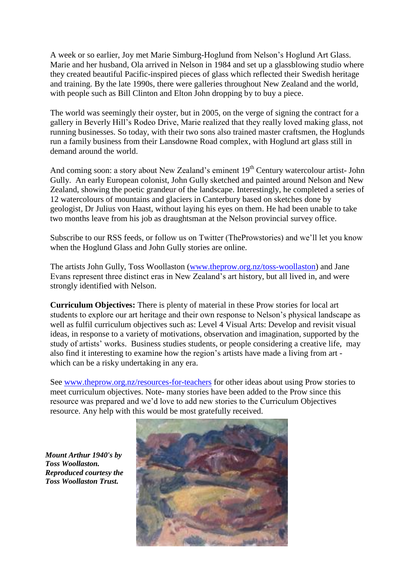A week or so earlier, Joy met Marie Simburg-Hoglund from Nelson's Hoglund Art Glass. Marie and her husband, Ola arrived in Nelson in 1984 and set up a glassblowing studio where they created beautiful Pacific-inspired pieces of glass which reflected their Swedish heritage and training. By the late 1990s, there were galleries throughout New Zealand and the world, with people such as Bill Clinton and Elton John dropping by to buy a piece.

The world was seemingly their oyster, but in 2005, on the verge of signing the contract for a gallery in Beverly Hill's Rodeo Drive, Marie realized that they really loved making glass, not running businesses. So today, with their two sons also trained master craftsmen, the Hoglunds run a family business from their Lansdowne Road complex, with Hoglund art glass still in demand around the world.

And coming soon: a story about New Zealand's eminent  $19<sup>th</sup>$  Century watercolour artist- John Gully. An early European colonist, John Gully sketched and painted around Nelson and New Zealand, showing the poetic grandeur of the landscape. Interestingly, he completed a series of 12 watercolours of mountains and glaciers in Canterbury based on sketches done by geologist, Dr Julius von Haast, without laying his eyes on them. He had been unable to take two months leave from his job as draughtsman at the Nelson provincial survey office.

Subscribe to our RSS feeds, or follow us on Twitter (TheProwstories) and we'll let you know when the Hoglund Glass and John Gully stories are online.

The artists John Gully, Toss Woollaston [\(www.theprow.org.nz/toss-woollaston\)](http://www.theprow.org.nz/toss-woollaston) and Jane Evans represent three distinct eras in New Zealand's art history, but all lived in, and were strongly identified with Nelson.

**Curriculum Objectives:** There is plenty of material in these Prow stories for local art students to explore our art heritage and their own response to Nelson's physical landscape as well as fulfil curriculum objectives such as: Level 4 Visual Arts: Develop and revisit visual ideas, in response to a variety of motivations, observation and imagination, supported by the study of artists' works. Business studies students, or people considering a creative life, may also find it interesting to examine how the region's artists have made a living from art which can be a risky undertaking in any era.

See [www.theprow.org.nz/resources-for-teachers](http://www.theprow.org.nz/resources-for-teachers) for other ideas about using Prow stories to meet curriculum objectives. Note- many stories have been added to the Prow since this resource was prepared and we'd love to add new stories to the Curriculum Objectives resource. Any help with this would be most gratefully received.

*Mount Arthur 1940's by Toss Woollaston. Reproduced courtesy the Toss Woollaston Trust.*

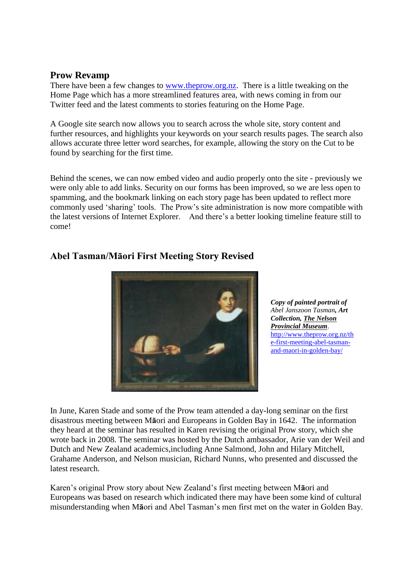#### **Prow Revamp**

There have been a few changes to [www.theprow.org.nz.](http://www.theprow.org.nz/) There is a little tweaking on the Home Page which has a more streamlined features area, with news coming in from our Twitter feed and the latest comments to stories featuring on the Home Page.

A Google site search now allows you to search across the whole site, story content and further resources, and highlights your keywords on your search results pages. The search also allows accurate three letter word searches, for example, allowing the story on the Cut to be found by searching for the first time.

Behind the scenes, we can now embed video and audio properly onto the site - previously we were only able to add links. Security on our forms has been improved, so we are less open to spamming, and the bookmark linking on each story page has been updated to reflect more commonly used 'sharing' tools. The Prow's site administration is now more compatible with the latest versions of Internet Explorer. And there's a better looking timeline feature still to come!



### **Abel Tasman/Māori First Meeting Story Revised**

*Copy of painted portrait of Abel Janszoon Tasman, Art Collection[, The Nelson](http://www.museumnp.org.nz/)  [Provincial Museum](http://www.museumnp.org.nz/)*. [http://www.theprow.org.nz/th](http://www.theprow.org.nz/the-first-meeting-abel-tasman-and-maori-in-golden-bay/) [e-first-meeting-abel-tasman](http://www.theprow.org.nz/the-first-meeting-abel-tasman-and-maori-in-golden-bay/)[and-maori-in-golden-bay/](http://www.theprow.org.nz/the-first-meeting-abel-tasman-and-maori-in-golden-bay/)

In June, Karen Stade and some of the Prow team attended a day-long seminar on the first disastrous meeting between M**ā**ori and Europeans in Golden Bay in 1642. The information they heard at the seminar has resulted in Karen revising the original Prow story, which she wrote back in 2008. The seminar was hosted by the Dutch ambassador, Arie van der Weil and Dutch and New Zealand academics,including Anne Salmond, John and Hilary Mitchell, Grahame Anderson, and Nelson musician, Richard Nunns, who presented and discussed the latest research.

Karen's original Prow story about New Zealand's first meeting between M**ā**ori and Europeans was based on research which indicated there may have been some kind of cultural misunderstanding when M**ā**ori and Abel Tasman's men first met on the water in Golden Bay.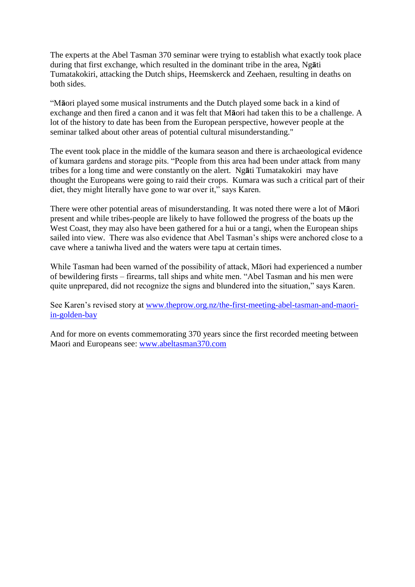The experts at the Abel Tasman 370 seminar were trying to establish what exactly took place during that first exchange, which resulted in the dominant tribe in the area, Ng**ā**ti Tumatakokiri, attacking the Dutch ships, Heemskerck and Zeehaen, resulting in deaths on both sides.

"M**ā**ori played some musical instruments and the Dutch played some back in a kind of exchange and then fired a canon and it was felt that M**ā**ori had taken this to be a challenge. A lot of the history to date has been from the European perspective, however people at the seminar talked about other areas of potential cultural misunderstanding."

The event took place in the middle of the kumara season and there is archaeological evidence of kumara gardens and storage pits. "People from this area had been under attack from many tribes for a long time and were constantly on the alert. Ng**ā**ti Tumatakokiri may have thought the Europeans were going to raid their crops. Kumara was such a critical part of their diet, they might literally have gone to war over it," says Karen.

There were other potential areas of misunderstanding. It was noted there were a lot of M**ā**ori present and while tribes-people are likely to have followed the progress of the boats up the West Coast, they may also have been gathered for a hui or a tangi, when the European ships sailed into view. There was also evidence that Abel Tasman's ships were anchored close to a cave where a taniwha lived and the waters were tapu at certain times.

While Tasman had been warned of the possibility of attack, Māori had experienced a number of bewildering firsts – firearms, tall ships and white men. "Abel Tasman and his men were quite unprepared, did not recognize the signs and blundered into the situation," says Karen.

See Karen's revised story at [www.theprow.org.nz/the-first-meeting-abel-tasman-and-maori](http://www.theprow.org.nz/the-first-meeting-abel-tasman-and-maori-in-golden-bay)[in-golden-bay](http://www.theprow.org.nz/the-first-meeting-abel-tasman-and-maori-in-golden-bay)

And for more on events commemorating 370 years since the first recorded meeting between Maori and Europeans see: [www.abeltasman370.com](http://www.abeltasman370.com/)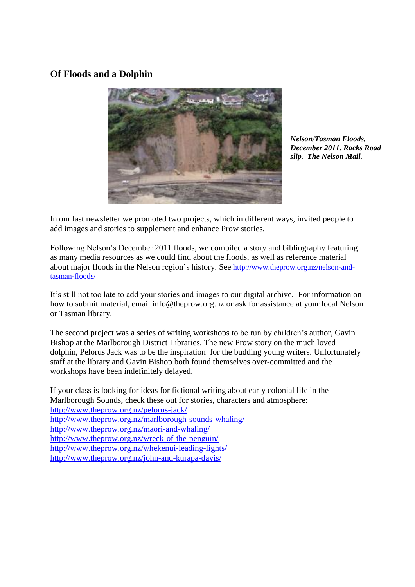## **Of Floods and a Dolphin**



*Nelson/Tasman Floods, December 2011. Rocks Road slip. The Nelson Mail.*

In our last newsletter we promoted two projects, which in different ways, invited people to add images and stories to supplement and enhance Prow stories.

Following Nelson's December 2011 floods, we compiled a story and bibliography featuring as many media resources as we could find about the floods, as well as reference material about major floods in the Nelson region's history. See [http://www.theprow.org.nz/nelson-and](http://www.theprow.org.nz/nelson-and-tasman-floods/)[tasman-floods/](http://www.theprow.org.nz/nelson-and-tasman-floods/)

It's still not too late to add your stories and images to our digital archive. For information on how to submit material, email [info@theprow.org.nz](mailto:info@theprow.org.nz) or ask for assistance at your local Nelson or Tasman library.

The second project was a series of writing workshops to be run by children's author, Gavin Bishop at the Marlborough District Libraries. The new Prow story on the much loved dolphin, Pelorus Jack was to be the inspiration for the budding young writers. Unfortunately staff at the library and Gavin Bishop both found themselves over-committed and the workshops have been indefinitely delayed.

If your class is looking for ideas for fictional writing about early colonial life in the Marlborough Sounds, check these out for stories, characters and atmosphere: <http://www.theprow.org.nz/pelorus-jack/> <http://www.theprow.org.nz/marlborough-sounds-whaling/> <http://www.theprow.org.nz/maori-and-whaling/> <http://www.theprow.org.nz/wreck-of-the-penguin/> <http://www.theprow.org.nz/whekenui-leading-lights/> <http://www.theprow.org.nz/john-and-kurapa-davis/>